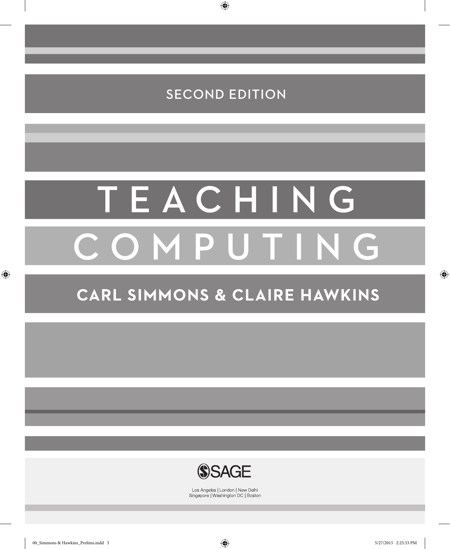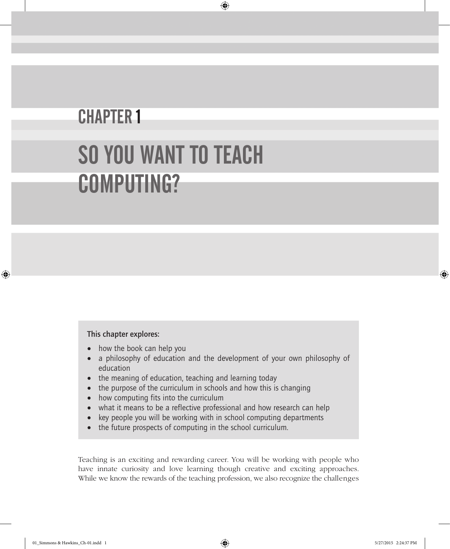# CHAPTER 1

# SO YOU WANT TO TEACH COMPUTING?

# This chapter explores:

- how the book can help you
- a philosophy of education and the development of your own philosophy of education

 $\bigoplus$ 

- the meaning of education, teaching and learning today
- the purpose of the curriculum in schools and how this is changing
- how computing fits into the curriculum
- what it means to be a reflective professional and how research can help
- key people you will be working with in school computing departments
- the future prospects of computing in the school curriculum.

Teaching is an exciting and rewarding career. You will be working with people who have innate curiosity and love learning though creative and exciting approaches. While we know the rewards of the teaching profession, we also recognize the challenges

◈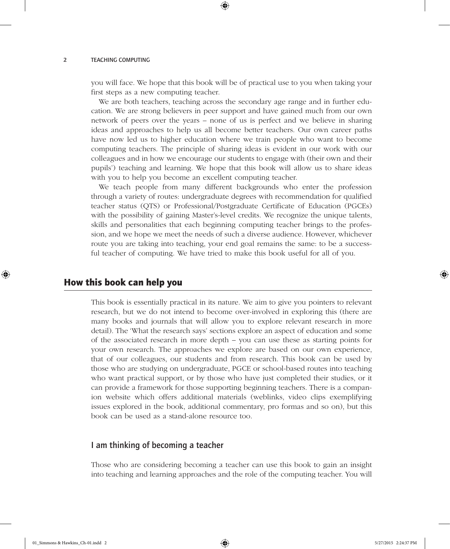you will face. We hope that this book will be of practical use to you when taking your first steps as a new computing teacher.

⊕

We are both teachers, teaching across the secondary age range and in further education. We are strong believers in peer support and have gained much from our own network of peers over the years – none of us is perfect and we believe in sharing ideas and approaches to help us all become better teachers. Our own career paths have now led us to higher education where we train people who want to become computing teachers. The principle of sharing ideas is evident in our work with our colleagues and in how we encourage our students to engage with (their own and their pupils') teaching and learning. We hope that this book will allow us to share ideas with you to help you become an excellent computing teacher.

We teach people from many different backgrounds who enter the profession through a variety of routes: undergraduate degrees with recommendation for qualified teacher status (QTS) or Professional/Postgraduate Certificate of Education (PGCEs) with the possibility of gaining Master's-level credits. We recognize the unique talents, skills and personalities that each beginning computing teacher brings to the profession, and we hope we meet the needs of such a diverse audience. However, whichever route you are taking into teaching, your end goal remains the same: to be a successful teacher of computing. We have tried to make this book useful for all of you.

# How this book can help you

This book is essentially practical in its nature. We aim to give you pointers to relevant research, but we do not intend to become over-involved in exploring this (there are many books and journals that will allow you to explore relevant research in more detail). The 'What the research says' sections explore an aspect of education and some of the associated research in more depth – you can use these as starting points for your own research. The approaches we explore are based on our own experience, that of our colleagues, our students and from research. This book can be used by those who are studying on undergraduate, PGCE or school-based routes into teaching who want practical support, or by those who have just completed their studies, or it can provide a framework for those supporting beginning teachers. There is a companion website which offers additional materials (weblinks, video clips exemplifying issues explored in the book, additional commentary, pro formas and so on), but this book can be used as a stand-alone resource too.

# I am thinking of becoming a teacher

Those who are considering becoming a teacher can use this book to gain an insight into teaching and learning approaches and the role of the computing teacher. You will

01\_Simmons & Hawkins\_Ch-01.indd 2 5/27/2015 2:24:37 PM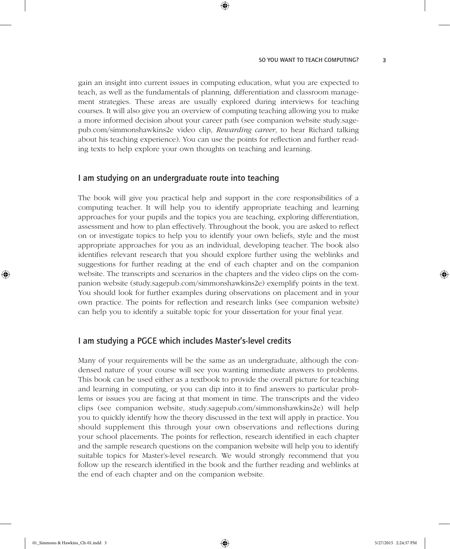gain an insight into current issues in computing education, what you are expected to teach, as well as the fundamentals of planning, differentiation and classroom management strategies. These areas are usually explored during interviews for teaching courses. It will also give you an overview of computing teaching allowing you to make a more informed decision about your career path (see companion website study.sagepub.com/simmonshawkins2e video clip, *Rewarding career*, to hear Richard talking about his teaching experience). You can use the points for reflection and further reading texts to help explore your own thoughts on teaching and learning.

⊕

# I am studying on an undergraduate route into teaching

The book will give you practical help and support in the core responsibilities of a computing teacher. It will help you to identify appropriate teaching and learning approaches for your pupils and the topics you are teaching, exploring differentiation, assessment and how to plan effectively. Throughout the book, you are asked to reflect on or investigate topics to help you to identify your own beliefs, style and the most appropriate approaches for you as an individual, developing teacher. The book also identifies relevant research that you should explore further using the weblinks and suggestions for further reading at the end of each chapter and on the companion website. The transcripts and scenarios in the chapters and the video clips on the companion website (study.sagepub.com/simmonshawkins2e) exemplify points in the text. You should look for further examples during observations on placement and in your own practice. The points for reflection and research links (see companion website) can help you to identify a suitable topic for your dissertation for your final year.

## I am studying a PGCE which includes Master's-level credits

Many of your requirements will be the same as an undergraduate, although the condensed nature of your course will see you wanting immediate answers to problems. This book can be used either as a textbook to provide the overall picture for teaching and learning in computing, or you can dip into it to find answers to particular problems or issues you are facing at that moment in time. The transcripts and the video clips (see companion website, study.sagepub.com/simmonshawkins2e) will help you to quickly identify how the theory discussed in the text will apply in practice. You should supplement this through your own observations and reflections during your school placements. The points for reflection, research identified in each chapter and the sample research questions on the companion website will help you to identify suitable topics for Master's-level research. We would strongly recommend that you follow up the research identified in the book and the further reading and weblinks at the end of each chapter and on the companion website.

♠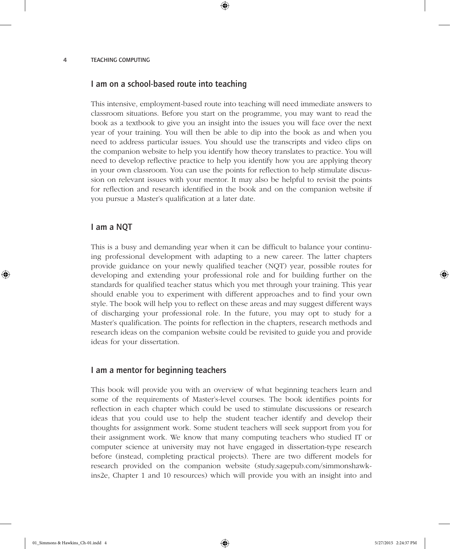# I am on a school-based route into teaching

This intensive, employment-based route into teaching will need immediate answers to classroom situations. Before you start on the programme, you may want to read the book as a textbook to give you an insight into the issues you will face over the next year of your training. You will then be able to dip into the book as and when you need to address particular issues. You should use the transcripts and video clips on the companion website to help you identify how theory translates to practice. You will need to develop reflective practice to help you identify how you are applying theory in your own classroom. You can use the points for reflection to help stimulate discussion on relevant issues with your mentor. It may also be helpful to revisit the points for reflection and research identified in the book and on the companion website if you pursue a Master's qualification at a later date.

⊕

## I am a NQT

♠

This is a busy and demanding year when it can be difficult to balance your continuing professional development with adapting to a new career. The latter chapters provide guidance on your newly qualified teacher (NQT) year, possible routes for developing and extending your professional role and for building further on the standards for qualified teacher status which you met through your training. This year should enable you to experiment with different approaches and to find your own style. The book will help you to reflect on these areas and may suggest different ways of discharging your professional role. In the future, you may opt to study for a Master's qualification. The points for reflection in the chapters, research methods and research ideas on the companion website could be revisited to guide you and provide ideas for your dissertation.

# I am a mentor for beginning teachers

This book will provide you with an overview of what beginning teachers learn and some of the requirements of Master's-level courses. The book identifies points for reflection in each chapter which could be used to stimulate discussions or research ideas that you could use to help the student teacher identify and develop their thoughts for assignment work. Some student teachers will seek support from you for their assignment work. We know that many computing teachers who studied IT or computer science at university may not have engaged in dissertation-type research before (instead, completing practical projects). There are two different models for research provided on the companion website (study.sagepub.com/simmonshawkins2e, Chapter 1 and 10 resources) which will provide you with an insight into and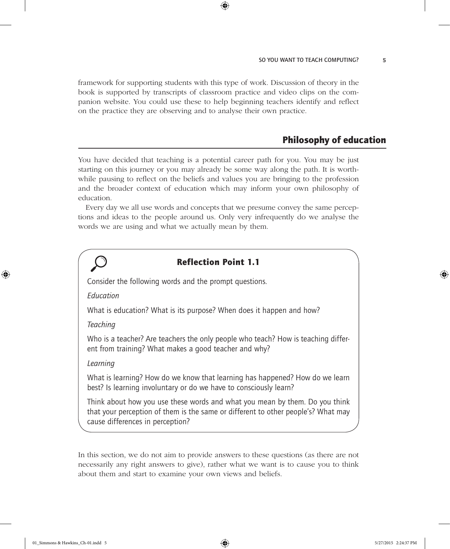framework for supporting students with this type of work. Discussion of theory in the book is supported by transcripts of classroom practice and video clips on the companion website. You could use these to help beginning teachers identify and reflect on the practice they are observing and to analyse their own practice.

⊕

# Philosophy of education

You have decided that teaching is a potential career path for you. You may be just starting on this journey or you may already be some way along the path. It is worthwhile pausing to reflect on the beliefs and values you are bringing to the profession and the broader context of education which may inform your own philosophy of education.

Every day we all use words and concepts that we presume convey the same perceptions and ideas to the people around us. Only very infrequently do we analyse the words we are using and what we actually mean by them.

# Reflection Point 1.1

Consider the following words and the prompt questions.

*Education*

♠

What is education? What is its purpose? When does it happen and how?

## *Teaching*

Who is a teacher? Are teachers the only people who teach? How is teaching different from training? What makes a good teacher and why?

## *Learning*

What is learning? How do we know that learning has happened? How do we learn best? Is learning involuntary or do we have to consciously learn?

Think about how you use these words and what you mean by them. Do you think that your perception of them is the same or different to other people's? What may cause differences in perception?

In this section, we do not aim to provide answers to these questions (as there are not necessarily any right answers to give), rather what we want is to cause you to think about them and start to examine your own views and beliefs.

01\_Simmons & Hawkins\_Ch-01.indd 5 5/27/2015 2:24:37 PM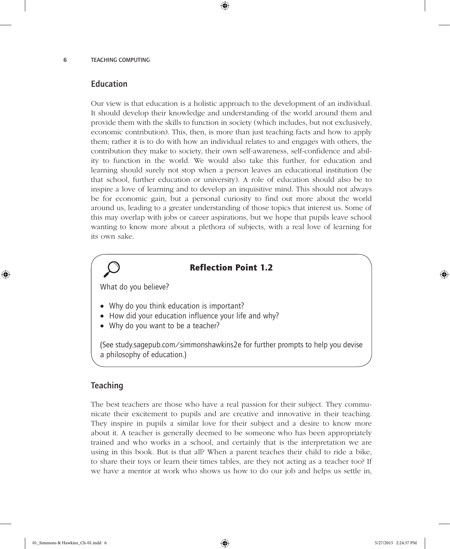# Education

Our view is that education is a holistic approach to the development of an individual. It should develop their knowledge and understanding of the world around them and provide them with the skills to function in society (which includes, but not exclusively, economic contribution). This, then, is more than just teaching facts and how to apply them; rather it is to do with how an individual relates to and engages with others, the contribution they make to society, their own self-awareness, self-confidence and ability to function in the world. We would also take this further, for education and learning should surely not stop when a person leaves an educational institution (be that school, further education or university). A role of education should also be to inspire a love of learning and to develop an inquisitive mind. This should not always be for economic gain, but a personal curiosity to find out more about the world around us, leading to a greater understanding of those topics that interest us. Some of this may overlap with jobs or career aspirations, but we hope that pupils leave school wanting to know more about a plethora of subjects, with a real love of learning for its own sake.

 $\bigoplus$ 

# Reflection Point 1.2

What do you believe?

- Why do you think education is important?
- How did your education influence your life and why?
- Why do you want to be a teacher?

(See study.sagepub.com/simmonshawkins2e for further prompts to help you devise a philosophy of education.)

# **Teaching**

The best teachers are those who have a real passion for their subject. They communicate their excitement to pupils and are creative and innovative in their teaching. They inspire in pupils a similar love for their subject and a desire to know more about it. A teacher is generally deemed to be someone who has been appropriately trained and who works in a school, and certainly that is the interpretation we are using in this book. But is that all? When a parent teaches their child to ride a bike, to share their toys or learn their times tables, are they not acting as a teacher too? If we have a mentor at work who shows us how to do our job and helps us settle in,

⊕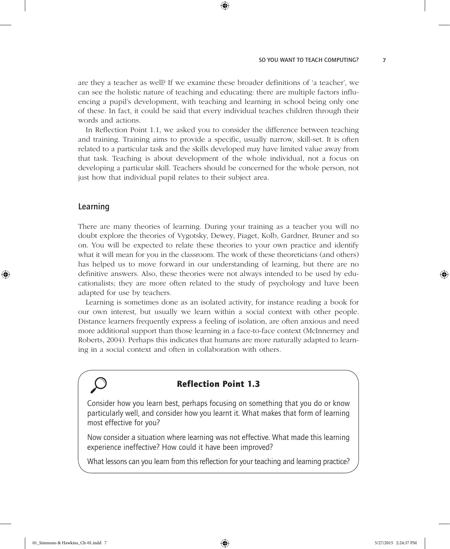are they a teacher as well? If we examine these broader definitions of 'a teacher', we can see the holistic nature of teaching and educating: there are multiple factors influencing a pupil's development, with teaching and learning in school being only one of these. In fact, it could be said that every individual teaches children through their words and actions.

⊕

In Reflection Point 1.1, we asked you to consider the difference between teaching and training. Training aims to provide a specific, usually narrow, skill-set. It is often related to a particular task and the skills developed may have limited value away from that task. Teaching is about development of the whole individual, not a focus on developing a particular skill. Teachers should be concerned for the whole person, not just how that individual pupil relates to their subject area.

# Learning

♠

There are many theories of learning. During your training as a teacher you will no doubt explore the theories of Vygotsky, Dewey, Piaget, Kolb, Gardner, Bruner and so on. You will be expected to relate these theories to your own practice and identify what it will mean for you in the classroom. The work of these theoreticians (and others) has helped us to move forward in our understanding of learning, but there are no definitive answers. Also, these theories were not always intended to be used by educationalists; they are more often related to the study of psychology and have been adapted for use by teachers.

Learning is sometimes done as an isolated activity, for instance reading a book for our own interest, but usually we learn within a social context with other people. Distance learners frequently express a feeling of isolation, are often anxious and need more additional support than those learning in a face-to-face context (McInnerney and Roberts, 2004). Perhaps this indicates that humans are more naturally adapted to learning in a social context and often in collaboration with others.

# Reflection Point 1.3

Consider how you learn best, perhaps focusing on something that you do or know particularly well, and consider how you learnt it. What makes that form of learning most effective for you?

Now consider a situation where learning was not effective. What made this learning experience ineffective? How could it have been improved?

What lessons can you learn from this reflection for your teaching and learning practice?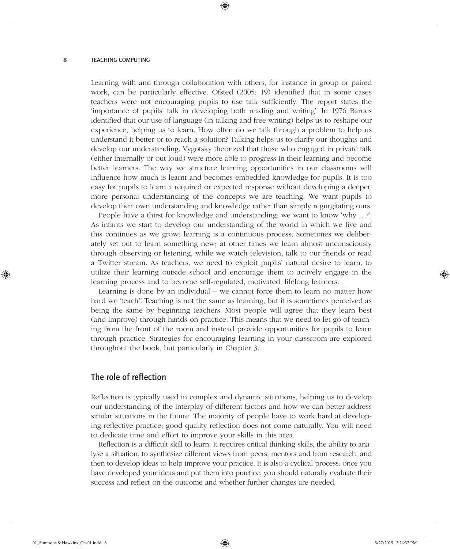Learning with and through collaboration with others, for instance in group or paired work, can be particularly effective. Ofsted (2005: 19) identified that in some cases teachers were not encouraging pupils to use talk sufficiently. The report states the 'importance of pupils' talk in developing both reading and writing'. In 1976 Barnes identified that our use of language (in talking and free writing) helps us to reshape our experience, helping us to learn. How often do we talk through a problem to help us understand it better or to reach a solution? Talking helps us to clarify our thoughts and develop our understanding. Vygotsky theorized that those who engaged in private talk (either internally or out loud) were more able to progress in their learning and become better learners. The way we structure learning opportunities in our classrooms will influence how much is learnt and becomes embedded knowledge for pupils. It is too easy for pupils to learn a required or expected response without developing a deeper, more personal understanding of the concepts we are teaching. We want pupils to develop their own understanding and knowledge rather than simply regurgitating ours.

⊕

People have a thirst for knowledge and understanding: we want to know 'why …?'. As infants we start to develop our understanding of the world in which we live and this continues as we grow: learning is a continuous process. Sometimes we deliberately set out to learn something new; at other times we learn almost unconsciously through observing or listening, while we watch television, talk to our friends or read a Twitter stream. As teachers, we need to exploit pupils' natural desire to learn, to utilize their learning outside school and encourage them to actively engage in the learning process and to become self-regulated, motivated, lifelong learners.

Learning is done by an individual – we cannot force them to learn no matter how hard we 'teach'! Teaching is not the same as learning, but it is sometimes perceived as being the same by beginning teachers. Most people will agree that they learn best (and improve) through hands-on practice. This means that we need to let go of teaching from the front of the room and instead provide opportunities for pupils to learn through practice. Strategies for encouraging learning in your classroom are explored throughout the book, but particularly in Chapter 3.

# The role of reflection

Reflection is typically used in complex and dynamic situations, helping us to develop our understanding of the interplay of different factors and how we can better address similar situations in the future. The majority of people have to work hard at developing reflective practice; good quality reflection does not come naturally. You will need to dedicate time and effort to improve your skills in this area.

Reflection is a difficult skill to learn. It requires critical thinking skills, the ability to analyse a situation, to synthesize different views from peers, mentors and from research, and then to develop ideas to help improve your practice. It is also a cyclical process: once you have developed your ideas and put them into practice, you should naturally evaluate their success and reflect on the outcome and whether further changes are needed.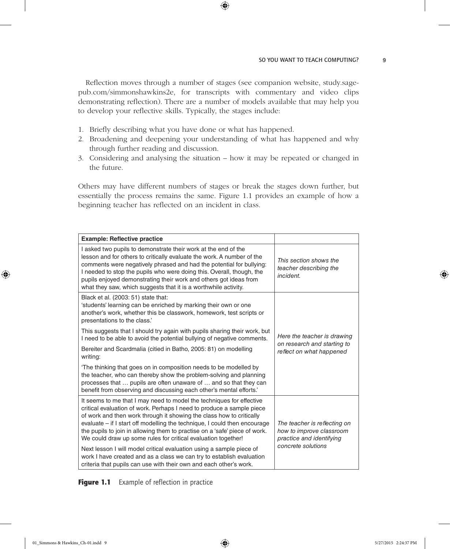Reflection moves through a number of stages (see companion website, study.sagepub.com/simmonshawkins2e, for transcripts with commentary and video clips demonstrating reflection). There are a number of models available that may help you to develop your reflective skills. Typically, the stages include:

 $\bigoplus$ 

- 1. Briefly describing what you have done or what has happened.
- 2. Broadening and deepening your understanding of what has happened and why through further reading and discussion.
- 3. Considering and analysing the situation how it may be repeated or changed in the future.

Others may have different numbers of stages or break the stages down further, but essentially the process remains the same. Figure 1.1 provides an example of how a beginning teacher has reflected on an incident in class.

| <b>Example: Reflective practice</b>                                                                                                                                                                                                                                                                                                                                                                                                               |                                                                                                            |
|---------------------------------------------------------------------------------------------------------------------------------------------------------------------------------------------------------------------------------------------------------------------------------------------------------------------------------------------------------------------------------------------------------------------------------------------------|------------------------------------------------------------------------------------------------------------|
| I asked two pupils to demonstrate their work at the end of the<br>lesson and for others to critically evaluate the work. A number of the<br>comments were negatively phrased and had the potential for bullying:<br>I needed to stop the pupils who were doing this. Overall, though, the<br>pupils enjoyed demonstrating their work and others got ideas from<br>what they saw, which suggests that it is a worthwhile activity.                 | This section shows the<br>teacher describing the<br>incident.                                              |
| Black et al. (2003: 51) state that:<br>'students' learning can be enriched by marking their own or one<br>another's work, whether this be classwork, homework, test scripts or<br>presentations to the class.'                                                                                                                                                                                                                                    | Here the teacher is drawing<br>on research and starting to<br>reflect on what happened                     |
| This suggests that I should try again with pupils sharing their work, but<br>I need to be able to avoid the potential bullying of negative comments.                                                                                                                                                                                                                                                                                              |                                                                                                            |
| Bereiter and Scardmalia (citied in Batho, 2005: 81) on modelling<br>writing:                                                                                                                                                                                                                                                                                                                                                                      |                                                                                                            |
| The thinking that goes on in composition needs to be modelled by<br>the teacher, who can thereby show the problem-solving and planning<br>processes that  pupils are often unaware of  and so that they can<br>benefit from observing and discussing each other's mental efforts.'                                                                                                                                                                |                                                                                                            |
| It seems to me that I may need to model the techniques for effective<br>critical evaluation of work. Perhaps I need to produce a sample piece<br>of work and then work through it showing the class how to critically<br>evaluate - if I start off modelling the technique, I could then encourage<br>the pupils to join in allowing them to practise on a 'safe' piece of work.<br>We could draw up some rules for critical evaluation together! | The teacher is reflecting on<br>how to improve classroom<br>practice and identifying<br>concrete solutions |
| Next lesson I will model critical evaluation using a sample piece of<br>work I have created and as a class we can try to establish evaluation<br>criteria that pupils can use with their own and each other's work.                                                                                                                                                                                                                               |                                                                                                            |



⊕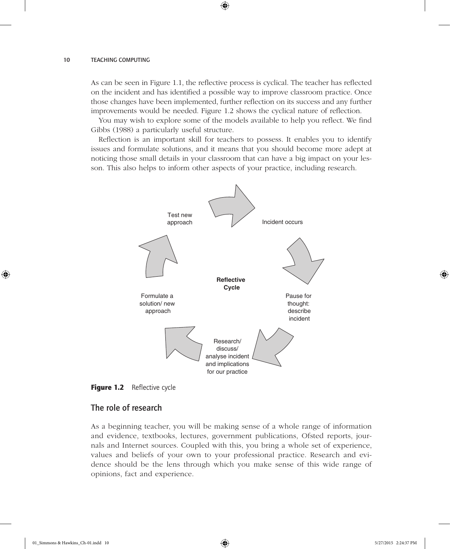As can be seen in Figure 1.1, the reflective process is cyclical. The teacher has reflected on the incident and has identified a possible way to improve classroom practice. Once those changes have been implemented, further reflection on its success and any further improvements would be needed. Figure 1.2 shows the cyclical nature of reflection.

 $\bigoplus$ 

You may wish to explore some of the models available to help you reflect. We find Gibbs (1988) a particularly useful structure.

Reflection is an important skill for teachers to possess. It enables you to identify issues and formulate solutions, and it means that you should become more adept at noticing those small details in your classroom that can have a big impact on your lesson. This also helps to inform other aspects of your practice, including research.





# The role of research

As a beginning teacher, you will be making sense of a whole range of information and evidence, textbooks, lectures, government publications, Ofsted reports, journals and Internet sources. Coupled with this, you bring a whole set of experience, values and beliefs of your own to your professional practice. Research and evidence should be the lens through which you make sense of this wide range of opinions, fact and experience.

⊕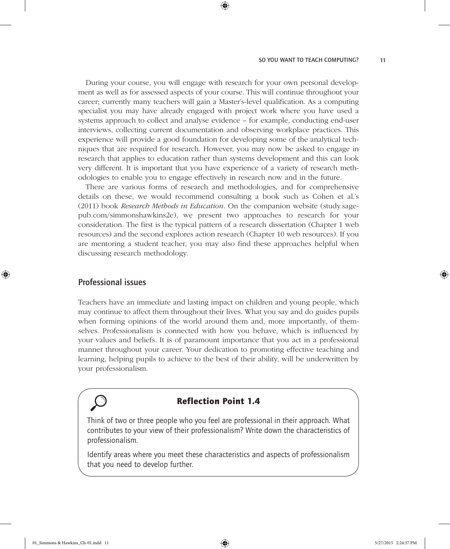During your course, you will engage with research for your own personal development as well as for assessed aspects of your course. This will continue throughout your career; currently many teachers will gain a Master's-level qualification. As a computing specialist you may have already engaged with project work where you have used a systems approach to collect and analyse evidence – for example, conducting end-user interviews, collecting current documentation and observing workplace practices. This experience will provide a good foundation for developing some of the analytical techniques that are required for research. However, you may now be asked to engage in research that applies to education rather than systems development and this can look very different. It is important that you have experience of a variety of research methodologies to enable you to engage effectively in research now and in the future.

⊕

There are various forms of research and methodologies, and for comprehensive details on these, we would recommend consulting a book such as Cohen et al.'s (2011) book *Research Methods in Education*. On the companion website (study.sagepub.com/simmonshawkins2e), we present two approaches to research for your consideration. The first is the typical pattern of a research dissertation (Chapter 1 web resources) and the second explores action research (Chapter 10 web resources). If you are mentoring a student teacher, you may also find these approaches helpful when discussing research methodology.

# Professional issues

⊕

Teachers have an immediate and lasting impact on children and young people, which may continue to affect them throughout their lives. What you say and do guides pupils when forming opinions of the world around them and, more importantly, of themselves. Professionalism is connected with how you behave, which is influenced by your values and beliefs. It is of paramount importance that you act in a professional manner throughout your career. Your dedication to promoting effective teaching and learning, helping pupils to achieve to the best of their ability, will be underwritten by your professionalism.

# Reflection Point 1.4

Think of two or three people who you feel are professional in their approach. What contributes to your view of their professionalism? Write down the characteristics of professionalism.

Identify areas where you meet these characteristics and aspects of professionalism that you need to develop further.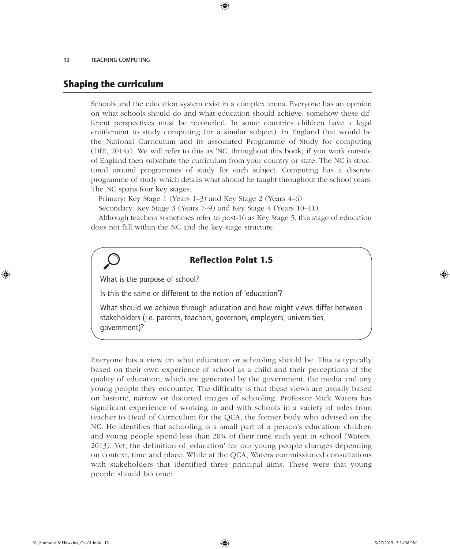# Shaping the curriculum

Schools and the education system exist in a complex arena. Everyone has an opinion on what schools should do and what education should achieve: somehow these different perspectives must be reconciled. In some countries children have a legal entitlement to study computing (or a similar subject). In England that would be the National Curriculum and its associated Programme of Study for computing (DfE, 2014a). We will refer to this as 'NC' throughout this book; if you work outside of England then substitute the curriculum from your country or state. The NC is structured around programmes of study for each subject. Computing has a discrete programme of study which details what should be taught throughout the school years. The NC spans four key stages:

⊕

Primary: Key Stage 1 (Years 1–3) and Key Stage 2 (Years 4–6)

Secondary: Key Stage 3 (Years 7–9) and Key Stage 4 (Years 10–11).

Although teachers sometimes refer to post-16 as Key Stage 5, this stage of education does not fall within the NC and the key stage structure.

# Reflection Point 1.5

What is the purpose of school?

Is this the same or different to the notion of 'education'?

What should we achieve through education and how might views differ between stakeholders (i.e. parents, teachers, governors, employers, universities, government)?

Everyone has a view on what education or schooling should be. This is typically based on their own experience of school as a child and their perceptions of the quality of education, which are generated by the government, the media and any young people they encounter. The difficulty is that these views are usually based on historic, narrow or distorted images of schooling. Professor Mick Waters has significant experience of working in and with schools in a variety of roles from teacher to Head of Curriculum for the QCA, the former body who advised on the NC. He identifies that schooling is a small part of a person's education; children and young people spend less than 20% of their time each year in school (Waters, 2013). Yet, the definition of 'education' for our young people changes depending on context, time and place. While at the QCA, Waters commissioned consultations with stakeholders that identified three principal aims. These were that young people should become:

♠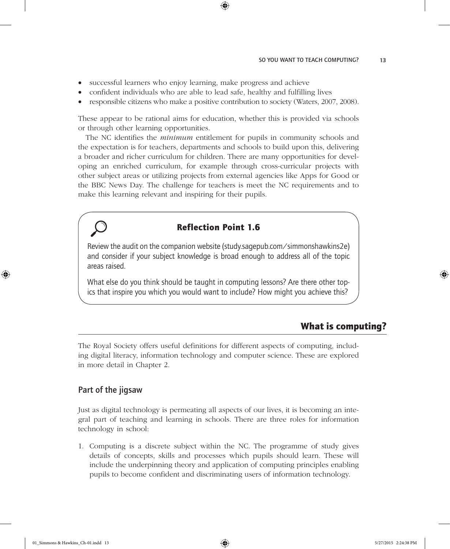- successful learners who enjoy learning, make progress and achieve
- confident individuals who are able to lead safe, healthy and fulfilling lives
- responsible citizens who make a positive contribution to society (Waters, 2007, 2008).

⊕

These appear to be rational aims for education, whether this is provided via schools or through other learning opportunities.

The NC identifies the *minimum* entitlement for pupils in community schools and the expectation is for teachers, departments and schools to build upon this, delivering a broader and richer curriculum for children. There are many opportunities for developing an enriched curriculum, for example through cross-curricular projects with other subject areas or utilizing projects from external agencies like Apps for Good or the BBC News Day. The challenge for teachers is meet the NC requirements and to make this learning relevant and inspiring for their pupils.

# Reflection Point 1.6

Review the audit on the companion website (study.sagepub.com/simmonshawkins2e) and consider if your subject knowledge is broad enough to address all of the topic areas raised.

What else do you think should be taught in computing lessons? Are there other topics that inspire you which you would want to include? How might you achieve this?

# What is computing?

The Royal Society offers useful definitions for different aspects of computing, including digital literacy, information technology and computer science. These are explored in more detail in Chapter 2.

# Part of the jigsaw

Just as digital technology is permeating all aspects of our lives, it is becoming an integral part of teaching and learning in schools. There are three roles for information technology in school:

1. Computing is a discrete subject within the NC. The programme of study gives details of concepts, skills and processes which pupils should learn. These will include the underpinning theory and application of computing principles enabling pupils to become confident and discriminating users of information technology.

01\_Simmons & Hawkins\_Ch-01.indd 13 5/27/2015 2:24:38 PM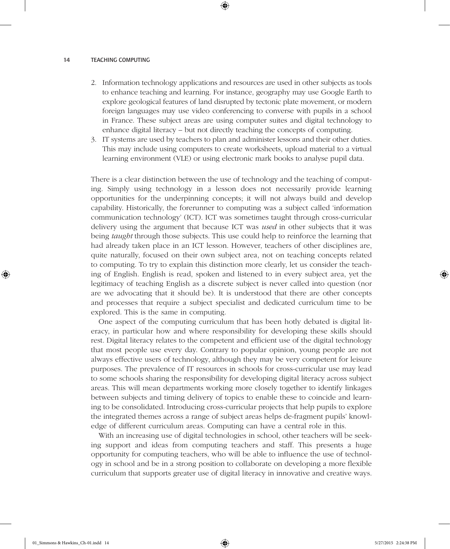2. Information technology applications and resources are used in other subjects as tools to enhance teaching and learning. For instance, geography may use Google Earth to explore geological features of land disrupted by tectonic plate movement, or modern foreign languages may use video conferencing to converse with pupils in a school in France. These subject areas are using computer suites and digital technology to enhance digital literacy – but not directly teaching the concepts of computing.

⊕

3. IT systems are used by teachers to plan and administer lessons and their other duties. This may include using computers to create worksheets, upload material to a virtual learning environment (VLE) or using electronic mark books to analyse pupil data.

There is a clear distinction between the use of technology and the teaching of computing. Simply using technology in a lesson does not necessarily provide learning opportunities for the underpinning concepts; it will not always build and develop capability. Historically, the forerunner to computing was a subject called 'information communication technology' (ICT). ICT was sometimes taught through cross-curricular delivery using the argument that because ICT was *used* in other subjects that it was being *taught* through those subjects. This use could help to reinforce the learning that had already taken place in an ICT lesson. However, teachers of other disciplines are, quite naturally, focused on their own subject area, not on teaching concepts related to computing. To try to explain this distinction more clearly, let us consider the teaching of English. English is read, spoken and listened to in every subject area, yet the legitimacy of teaching English as a discrete subject is never called into question (nor are we advocating that it should be). It is understood that there are other concepts and processes that require a subject specialist and dedicated curriculum time to be explored. This is the same in computing.

One aspect of the computing curriculum that has been hotly debated is digital literacy, in particular how and where responsibility for developing these skills should rest. Digital literacy relates to the competent and efficient use of the digital technology that most people use every day. Contrary to popular opinion, young people are not always effective users of technology, although they may be very competent for leisure purposes. The prevalence of IT resources in schools for cross-curricular use may lead to some schools sharing the responsibility for developing digital literacy across subject areas. This will mean departments working more closely together to identify linkages between subjects and timing delivery of topics to enable these to coincide and learning to be consolidated. Introducing cross-curricular projects that help pupils to explore the integrated themes across a range of subject areas helps de-fragment pupils' knowledge of different curriculum areas. Computing can have a central role in this.

With an increasing use of digital technologies in school, other teachers will be seeking support and ideas from computing teachers and staff. This presents a huge opportunity for computing teachers, who will be able to influence the use of technology in school and be in a strong position to collaborate on developing a more flexible curriculum that supports greater use of digital literacy in innovative and creative ways.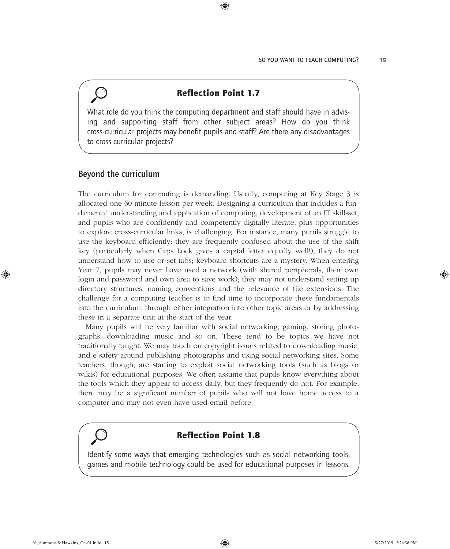# Reflection Point 1.7

⊕

What role do you think the computing department and staff should have in advising and supporting staff from other subject areas? How do you think cross-curricular projects may benefit pupils and staff? Are there any disadvantages to cross-curricular projects?

# Beyond the curriculum

The curriculum for computing is demanding. Usually, computing at Key Stage 3 is allocated one 60-minute lesson per week. Designing a curriculum that includes a fundamental understanding and application of computing, development of an IT skill-set, and pupils who are confidently and competently digitally literate, plus opportunities to explore cross-curricular links, is challenging. For instance, many pupils struggle to use the keyboard efficiently: they are frequently confused about the use of the shift key (particularly when Caps Lock gives a capital letter equally well!); they do not understand how to use or set tabs; keyboard shortcuts are a mystery. When entering Year 7, pupils may never have used a network (with shared peripherals, their own login and password and own area to save work); they may not understand setting up directory structures, naming conventions and the relevance of file extensions. The challenge for a computing teacher is to find time to incorporate these fundamentals into the curriculum, through either integration into other topic areas or by addressing these in a separate unit at the start of the year.

Many pupils will be very familiar with social networking, gaming, storing photographs, downloading music and so on. These tend to be topics we have not traditionally taught. We may touch on copyright issues related to downloading music, and e-safety around publishing photographs and using social networking sites. Some teachers, though, are starting to exploit social networking tools (such as blogs or wikis) for educational purposes. We often assume that pupils know everything about the tools which they appear to access daily, but they frequently do not. For example, there may be a significant number of pupils who will not have home access to a computer and may not even have used email before.

# Reflection Point 1.8

Identify some ways that emerging technologies such as social networking tools, games and mobile technology could be used for educational purposes in lessons.

♠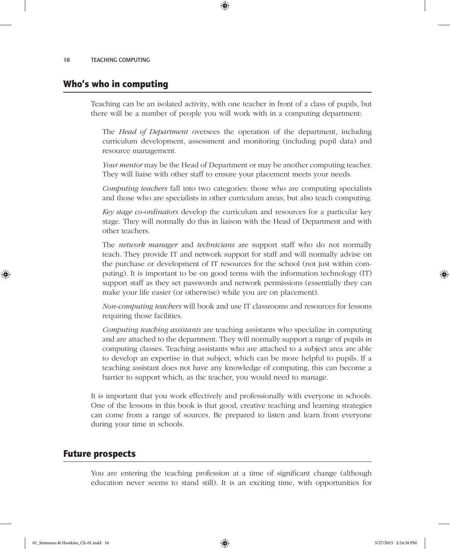# Who's who in computing

Teaching can be an isolated activity, with one teacher in front of a class of pupils, but there will be a number of people you will work with in a computing department:

⊕

The *Head of Department* oversees the operation of the department, including curriculum development, assessment and monitoring (including pupil data) and resource management.

*Your mentor* may be the Head of Department or may be another computing teacher. They will liaise with other staff to ensure your placement meets your needs.

*Computing teachers* fall into two categories: those who are computing specialists and those who are specialists in other curriculum areas, but also teach computing.

*Key stage co-ordinators* develop the curriculum and resources for a particular key stage. They will normally do this in liaison with the Head of Department and with other teachers.

The *network manager* and *technicians* are support staff who do not normally teach. They provide IT and network support for staff and will normally advise on the purchase or development of IT resources for the school (not just within computing). It is important to be on good terms with the information technology (IT) support staff as they set passwords and network permissions (essentially they can make your life easier (or otherwise) while you are on placement).

*Non-computing teachers* will book and use IT classrooms and resources for lessons requiring those facilities.

*Computing teaching assistants* are teaching assistants who specialize in computing and are attached to the department. They will normally support a range of pupils in computing classes. Teaching assistants who are attached to a subject area are able to develop an expertise in that subject, which can be more helpful to pupils. If a teaching assistant does not have any knowledge of computing, this can become a barrier to support which, as the teacher, you would need to manage.

It is important that you work effectively and professionally with everyone in schools. One of the lessons in this book is that good, creative teaching and learning strategies can come from a range of sources. Be prepared to listen and learn from everyone during your time in schools.

# Future prospects

You are entering the teaching profession at a time of significant change (although education never seems to stand still). It is an exciting time, with opportunities for